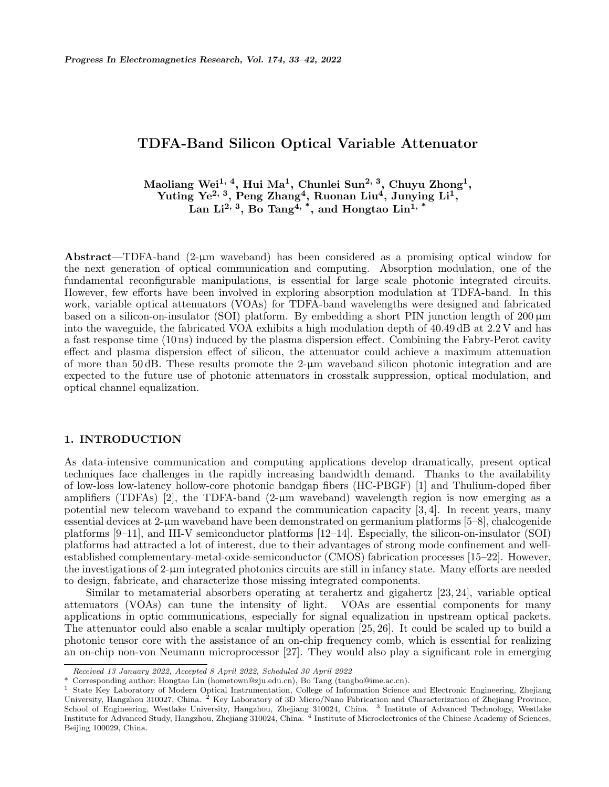# **TDFA-Band Silicon Optical Variable Attenuator**

**Maoliang Wei1, 4, Hui Ma<sup>1</sup> , Chunlei Sun2, 3, Chuyu Zhong<sup>1</sup> , Yuting Ye2, 3, Peng Zhang<sup>4</sup> , Ruonan Liu<sup>4</sup> , Junying Li<sup>1</sup> , Lan Li2, 3, Bo Tang4, \*, and Hongtao Lin1, \***

Abstract—TDFA-band  $(2-\mu m)$  waveband) has been considered as a promising optical window for the next generation of optical communication and computing. Absorption modulation, one of the fundamental reconfigurable manipulations, is essential for large scale photonic integrated circuits. However, few efforts have been involved in exploring absorption modulation at TDFA-band. In this work, variable optical attenuators (VOAs) for TDFA-band wavelengths were designed and fabricated based on a silicon-on-insulator (SOI) platform. By embedding a short PIN junction length of  $200 \mu m$ into the waveguide, the fabricated VOA exhibits a high modulation depth of 40.49 dB at 2.2 V and has a fast response time (10 ns) induced by the plasma dispersion effect. Combining the Fabry-Perot cavity effect and plasma dispersion effect of silicon, the attenuator could achieve a maximum attenuation of more than 50 dB. These results promote the 2-µm waveband silicon photonic integration and are expected to the future use of photonic attenuators in crosstalk suppression, optical modulation, and optical channel equalization.

#### **1. INTRODUCTION**

As data-intensive communication and computing applications develop dramatically, present optical techniques face challenges in the rapidly increasing bandwidth demand. Thanks to the availability of low-loss low-latency hollow-core photonic bandgap fibers (HC-PBGF) [1] and Thulium-doped fiber amplifiers (TDFAs) [2], the TDFA-band (2- $\mu$ m waveband) wavelength region is now emerging as a potential new telecom waveband to expand the communication capacity [3, 4]. In recent years, many essential devices at 2-µm waveband have been demonstrated on germanium platforms [5–8], chalcogenide platforms [9–11], and III-V semiconductor platforms [12–14]. Especially, the silicon-on-insulator (SOI) platforms had attracted a lot of interest, due to their advantages of strong mode confinement and wellestablished complementary-metal-oxide-semiconductor (CMOS) fabrication processes [15–22]. However, the investigations of 2-µm integrated photonics circuits are still in infancy state. Many efforts are needed to design, fabricate, and characterize those missing integrated components.

Similar to metamaterial absorbers operating at terahertz and gigahertz [23, 24], variable optical attenuators (VOAs) can tune the intensity of light. VOAs are essential components for many applications in optic communications, especially for signal equalization in upstream optical packets. The attenuator could also enable a scalar multiply operation [25, 26]. It could be scaled up to build a photonic tensor core with the assistance of an on-chip frequency comb, which is essential for realizing an on-chip non-von Neumann microprocessor [27]. They would also play a significant role in emerging

*Received 13 January 2022, Accepted 8 April 2022, Scheduled 30 April 2022*

<sup>\*</sup> Corresponding author: Hongtao Lin (hometown@zju.edu.cn), Bo Tang (tangbo@ime.ac.cn).

<sup>1</sup> State Key Laboratory of Modern Optical Instrumentation, College of Information Science and Electronic Engineering, Zhejiang University, Hangzhou 310027, China. <sup>2</sup> Key Laboratory of 3D Micro/Nano Fabrication and Characterization of Zhejiang Province, School of Engineering, Westlake University, Hangzhou, Zhejiang 310024, China. <sup>3</sup> Institute of Advanced Technology, Westlake Institute for Advanced Study, Hangzhou, Zhejiang 310024, China. <sup>4</sup> Institute of Microelectronics of the Chinese Academy of Sciences, Beijing 100029, China.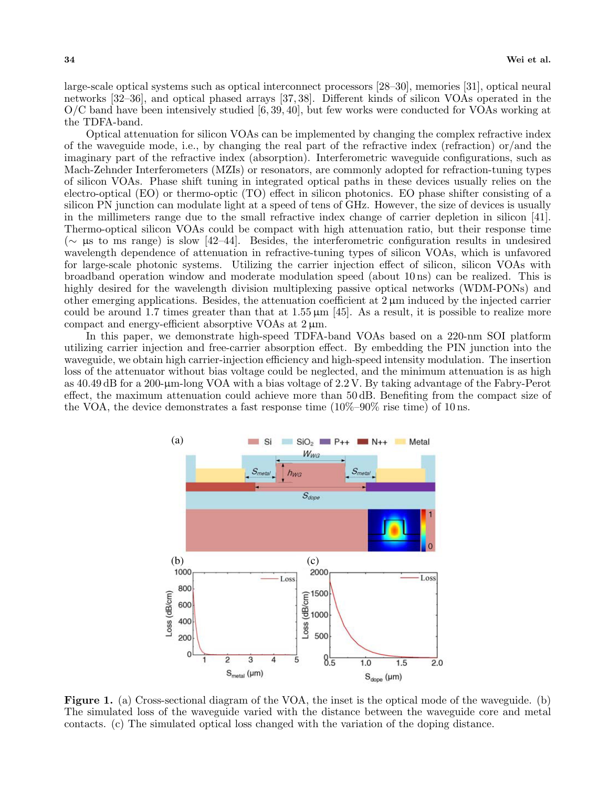large-scale optical systems such as optical interconnect processors [28–30], memories [31], optical neural networks [32–36], and optical phased arrays [37, 38]. Different kinds of silicon VOAs operated in the O/C band have been intensively studied [6, 39, 40], but few works were conducted for VOAs working at the TDFA-band.

Optical attenuation for silicon VOAs can be implemented by changing the complex refractive index of the waveguide mode, i.e., by changing the real part of the refractive index (refraction) or/and the imaginary part of the refractive index (absorption). Interferometric waveguide configurations, such as Mach-Zehnder Interferometers (MZIs) or resonators, are commonly adopted for refraction-tuning types of silicon VOAs. Phase shift tuning in integrated optical paths in these devices usually relies on the electro-optical (EO) or thermo-optic (TO) effect in silicon photonics. EO phase shifter consisting of a silicon PN junction can modulate light at a speed of tens of GHz. However, the size of devices is usually in the millimeters range due to the small refractive index change of carrier depletion in silicon [41]. Thermo-optical silicon VOAs could be compact with high attenuation ratio, but their response time (*∼* µs to ms range) is slow [42–44]. Besides, the interferometric configuration results in undesired wavelength dependence of attenuation in refractive-tuning types of silicon VOAs, which is unfavored for large-scale photonic systems. Utilizing the carrier injection effect of silicon, silicon VOAs with broadband operation window and moderate modulation speed (about 10 ns) can be realized. This is highly desired for the wavelength division multiplexing passive optical networks (WDM-PONs) and other emerging applications. Besides, the attenuation coefficient at  $2 \mu m$  induced by the injected carrier could be around 1.7 times greater than that at  $1.55 \,\mu\text{m}$  [45]. As a result, it is possible to realize more compact and energy-efficient absorptive VOAs at  $2 \mu m$ .

In this paper, we demonstrate high-speed TDFA-band VOAs based on a 220-nm SOI platform utilizing carrier injection and free-carrier absorption effect. By embedding the PIN junction into the waveguide, we obtain high carrier-injection efficiency and high-speed intensity modulation. The insertion loss of the attenuator without bias voltage could be neglected, and the minimum attenuation is as high as 40.49 dB for a 200-µm-long VOA with a bias voltage of 2.2 V. By taking advantage of the Fabry-Perot effect, the maximum attenuation could achieve more than 50 dB. Benefiting from the compact size of the VOA, the device demonstrates a fast response time  $(10\% - 90\%$  rise time) of 10 ns.



**Figure 1.** (a) Cross-sectional diagram of the VOA, the inset is the optical mode of the waveguide. (b) The simulated loss of the waveguide varied with the distance between the waveguide core and metal contacts. (c) The simulated optical loss changed with the variation of the doping distance.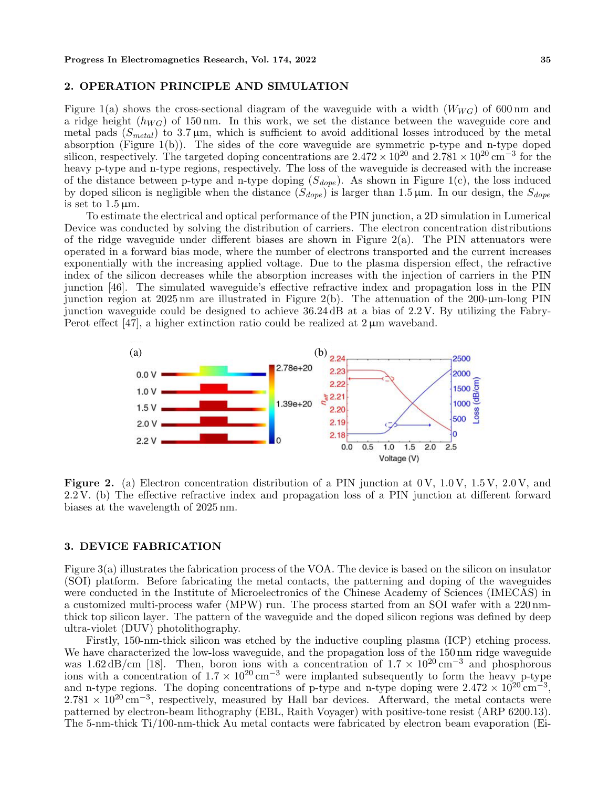#### **2. OPERATION PRINCIPLE AND SIMULATION**

Figure 1(a) shows the cross-sectional diagram of the waveguide with a width  $(W_{WG})$  of 600 nm and a ridge height (*hW G*) of 150 nm. In this work, we set the distance between the waveguide core and metal pads (*Smetal*) to 3.7 µm, which is sufficient to avoid additional losses introduced by the metal absorption (Figure 1(b)). The sides of the core waveguide are symmetric p-type and n-type doped silicon, respectively. The targeted doping concentrations are  $2.472 \times 10^{20}$  and  $2.781 \times 10^{20}$  cm<sup>−3</sup> for the heavy p-type and n-type regions, respectively. The loss of the waveguide is decreased with the increase of the distance between p-type and n-type doping  $(S_{dope})$ . As shown in Figure 1(c), the loss induced by doped silicon is negligible when the distance  $(S_{dope})$  is larger than 1.5  $\mu$ m. In our design, the  $S_{dope}$ is set to  $1.5 \,\mu \text{m}$ .

To estimate the electrical and optical performance of the PIN junction, a 2D simulation in Lumerical Device was conducted by solving the distribution of carriers. The electron concentration distributions of the ridge waveguide under different biases are shown in Figure 2(a). The PIN attenuators were operated in a forward bias mode, where the number of electrons transported and the current increases exponentially with the increasing applied voltage. Due to the plasma dispersion effect, the refractive index of the silicon decreases while the absorption increases with the injection of carriers in the PIN junction [46]. The simulated waveguide's effective refractive index and propagation loss in the PIN junction region at  $2025 \text{ nm}$  are illustrated in Figure 2(b). The attenuation of the  $200-\mu\text{m-long PIN}$ junction waveguide could be designed to achieve 36.24 dB at a bias of 2.2 V. By utilizing the Fabry-Perot effect [47], a higher extinction ratio could be realized at  $2 \mu m$  waveband.



Figure 2. (a) Electron concentration distribution of a PIN junction at 0V, 1.0V, 1.5V, 2.0V, and 2.2 V. (b) The effective refractive index and propagation loss of a PIN junction at different forward biases at the wavelength of 2025 nm.

#### **3. DEVICE FABRICATION**

Figure 3(a) illustrates the fabrication process of the VOA. The device is based on the silicon on insulator (SOI) platform. Before fabricating the metal contacts, the patterning and doping of the waveguides were conducted in the Institute of Microelectronics of the Chinese Academy of Sciences (IMECAS) in a customized multi-process wafer (MPW) run. The process started from an SOI wafer with a 220 nmthick top silicon layer. The pattern of the waveguide and the doped silicon regions was defined by deep ultra-violet (DUV) photolithography.

Firstly, 150-nm-thick silicon was etched by the inductive coupling plasma (ICP) etching process. We have characterized the low-loss waveguide, and the propagation loss of the 150 nm ridge waveguide was  $1.62 \text{ dB/cm}$  [18]. Then, boron ions with a concentration of  $1.7 \times 10^{20} \text{ cm}^{-3}$  and phosphorous ions with a concentration of  $1.7 \times 10^{20} \text{ cm}^{-3}$  were implanted subsequently to form the heavy p-type and n-type regions. The doping concentrations of p-type and n-type doping were  $2.472 \times 10^{20} \text{ cm}^{-3}$ , 2.781 × 10<sup>20</sup> cm<sup>−3</sup>, respectively, measured by Hall bar devices. Afterward, the metal contacts were patterned by electron-beam lithography (EBL, Raith Voyager) with positive-tone resist (ARP 6200.13). The 5-nm-thick Ti/100-nm-thick Au metal contacts were fabricated by electron beam evaporation (Ei-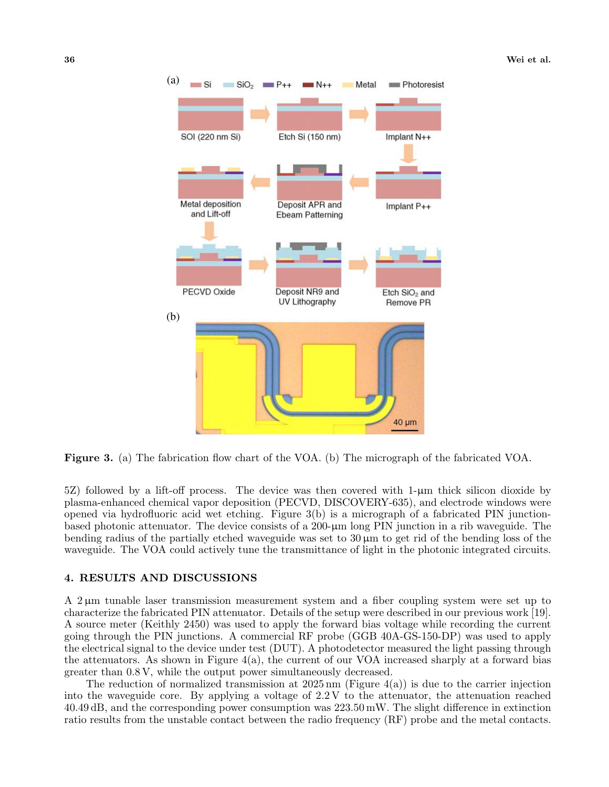

**Figure 3.** (a) The fabrication flow chart of the VOA. (b) The micrograph of the fabricated VOA.

5Z) followed by a lift-off process. The device was then covered with  $1-\mu m$  thick silicon dioxide by plasma-enhanced chemical vapor deposition (PECVD, DISCOVERY-635), and electrode windows were opened via hydrofluoric acid wet etching. Figure 3(b) is a micrograph of a fabricated PIN junctionbased photonic attenuator. The device consists of a 200-µm long PIN junction in a rib waveguide. The bending radius of the partially etched waveguide was set to  $30 \mu m$  to get rid of the bending loss of the waveguide. The VOA could actively tune the transmittance of light in the photonic integrated circuits.

#### **4. RESULTS AND DISCUSSIONS**

A 2 µm tunable laser transmission measurement system and a fiber coupling system were set up to characterize the fabricated PIN attenuator. Details of the setup were described in our previous work [19]. A source meter (Keithly 2450) was used to apply the forward bias voltage while recording the current going through the PIN junctions. A commercial RF probe (GGB 40A-GS-150-DP) was used to apply the electrical signal to the device under test (DUT). A photodetector measured the light passing through the attenuators. As shown in Figure  $4(a)$ , the current of our VOA increased sharply at a forward bias greater than 0.8 V, while the output power simultaneously decreased.

The reduction of normalized transmission at  $2025 \text{ nm}$  (Figure 4(a)) is due to the carrier injection into the waveguide core. By applying a voltage of 2.2 V to the attenuator, the attenuation reached 40.49 dB, and the corresponding power consumption was 223.50 mW. The slight difference in extinction ratio results from the unstable contact between the radio frequency (RF) probe and the metal contacts.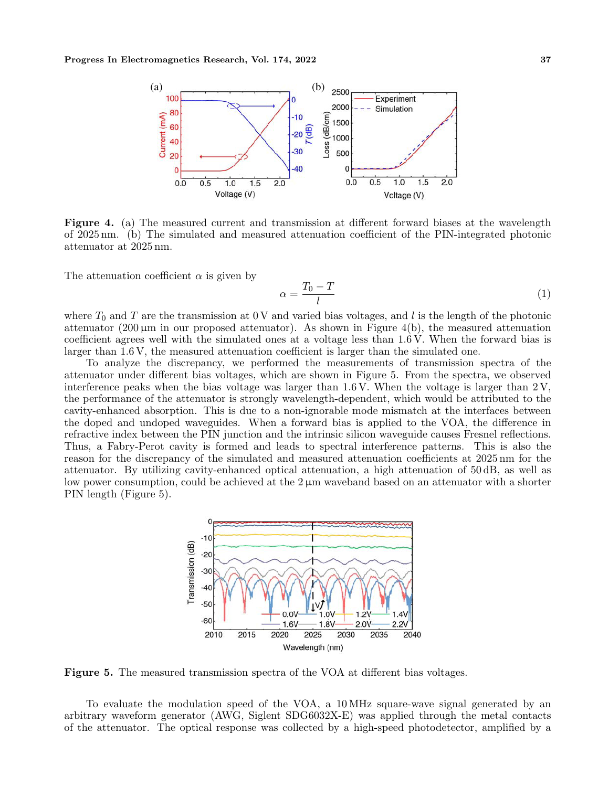

**Figure 4.** (a) The measured current and transmission at different forward biases at the wavelength of 2025 nm. (b) The simulated and measured attenuation coefficient of the PIN-integrated photonic attenuator at 2025 nm.

The attenuation coefficient  $\alpha$  is given by

$$
\alpha = \frac{T_0 - T}{l} \tag{1}
$$

where  $T_0$  and  $T$  are the transmission at 0 V and varied bias voltages, and *l* is the length of the photonic attenuator  $(200 \,\mu\text{m})$  in our proposed attenuator). As shown in Figure 4(b), the measured attenuation coefficient agrees well with the simulated ones at a voltage less than 1.6 V. When the forward bias is larger than 1.6 V, the measured attenuation coefficient is larger than the simulated one.

To analyze the discrepancy, we performed the measurements of transmission spectra of the attenuator under different bias voltages, which are shown in Figure 5. From the spectra, we observed interference peaks when the bias voltage was larger than  $1.6 \text{ V}$ . When the voltage is larger than  $2 \text{ V}$ , the performance of the attenuator is strongly wavelength-dependent, which would be attributed to the cavity-enhanced absorption. This is due to a non-ignorable mode mismatch at the interfaces between the doped and undoped waveguides. When a forward bias is applied to the VOA, the difference in refractive index between the PIN junction and the intrinsic silicon waveguide causes Fresnel reflections. Thus, a Fabry-Perot cavity is formed and leads to spectral interference patterns. This is also the reason for the discrepancy of the simulated and measured attenuation coefficients at 2025 nm for the attenuator. By utilizing cavity-enhanced optical attenuation, a high attenuation of 50 dB, as well as low power consumption, could be achieved at the  $2 \mu m$  waveband based on an attenuator with a shorter PIN length (Figure 5).



**Figure 5.** The measured transmission spectra of the VOA at different bias voltages.

To evaluate the modulation speed of the VOA, a 10 MHz square-wave signal generated by an arbitrary waveform generator (AWG, Siglent SDG6032X-E) was applied through the metal contacts of the attenuator. The optical response was collected by a high-speed photodetector, amplified by a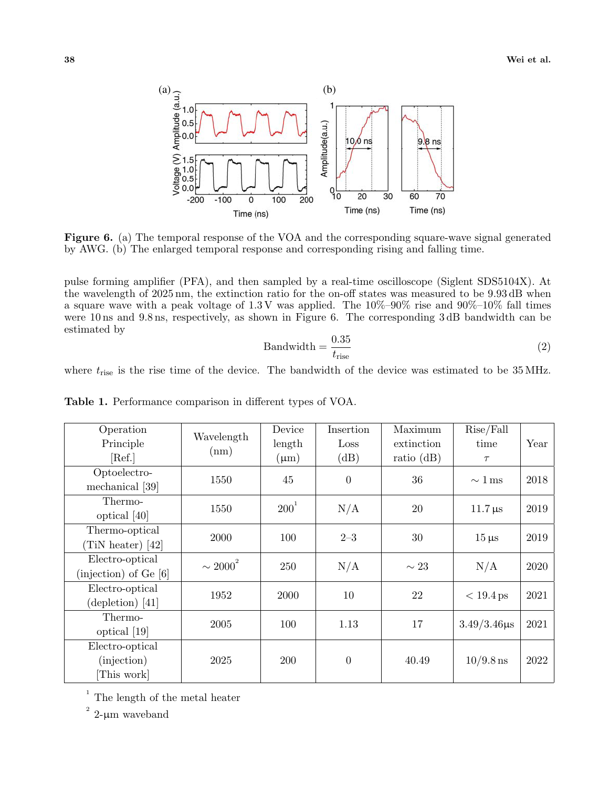

**Figure 6.** (a) The temporal response of the VOA and the corresponding square-wave signal generated by AWG. (b) The enlarged temporal response and corresponding rising and falling time.

pulse forming amplifier (PFA), and then sampled by a real-time oscilloscope (Siglent SDS5104X). At the wavelength of 2025 nm, the extinction ratio for the on-off states was measured to be 9.93 dB when a square wave with a peak voltage of  $1.3 \text{ V}$  was applied. The  $10\%$ – $90\%$  rise and  $90\%$ – $10\%$  fall times were 10 ns and 9.8 ns, respectively, as shown in Figure 6. The corresponding 3 dB bandwidth can be estimated by

$$
Bandwidth = \frac{0.35}{t_{\text{rise}}} \tag{2}
$$

where  $t_{\text{rise}}$  is the rise time of the device. The bandwidth of the device was estimated to be 35 MHz.

| Operation                   | Wavelength    | Device     | Insertion      | Maximum      | Rise/Fall               |      |
|-----------------------------|---------------|------------|----------------|--------------|-------------------------|------|
| Principle                   | (nm)          | length     | Loss           | extinction   | time                    | Year |
| [Ref.]                      |               | $(\mu m)$  | (dB)           | ratio $(dB)$ | $\tau$                  |      |
| Optoelectro-                | 1550          | 45         | $\overline{0}$ | 36           | $\sim 1 \,\text{ms}$    | 2018 |
| mechanical [39]             |               |            |                |              |                         |      |
| Thermo-                     | 1550          | $200^1$    | N/A            | 20           | $11.7 \,\mathrm{\mu s}$ | 2019 |
| optical [40]                |               |            |                |              |                         |      |
| Thermo-optical              | 2000          | 100        | $2 - 3$        | 30           | $15 \,\mu s$            | 2019 |
| $(TiN \text{ heater})$ [42] |               |            |                |              |                         |      |
| Electro-optical             | $\sim 2000^2$ | 250        | N/A            | $\sim 23$    | N/A                     | 2020 |
| (injection) of $Ge[6]$      |               |            |                |              |                         |      |
| Electro-optical             | 1952          | 2000       | 10             | 22           | $< 19.4$ ps             | 2021 |
| (depletion) [41]            |               |            |                |              |                         |      |
| Thermo-                     | 2005          | 100        | 1.13           | 17           | $3.49/3.46 \mu s$       | 2021 |
| optical [19]                |               |            |                |              |                         |      |
| Electro-optical             |               |            |                |              |                         |      |
| (injection)                 | 2025          | <b>200</b> | $\theta$       | 40.49        | $10/9.8$ ns             | 2022 |
| [This work]                 |               |            |                |              |                         |      |

**Table 1.** Performance comparison in different types of VOA.

1 The length of the metal heater

2  $2\text{-}\upmu\text{m}$  waveband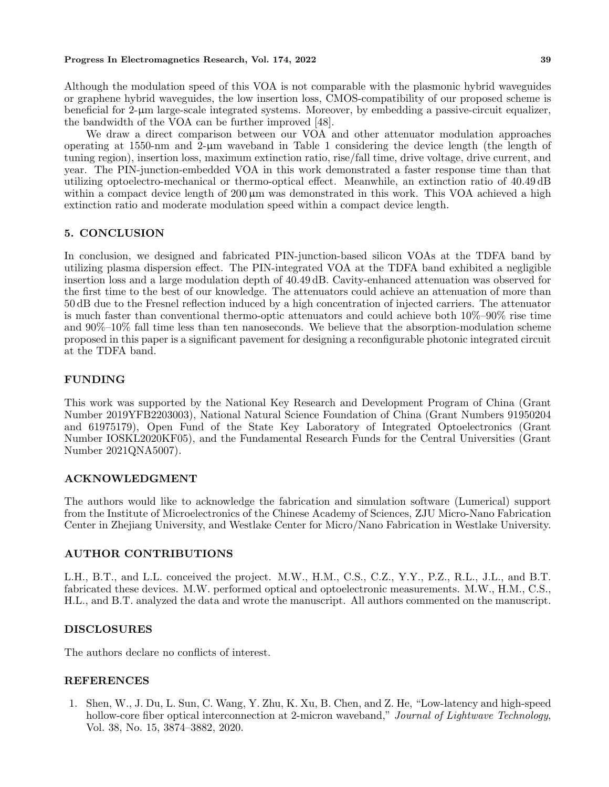#### **Progress In Electromagnetics Research, Vol. 174, 2022 39**

Although the modulation speed of this VOA is not comparable with the plasmonic hybrid waveguides or graphene hybrid waveguides, the low insertion loss, CMOS-compatibility of our proposed scheme is beneficial for 2-µm large-scale integrated systems. Moreover, by embedding a passive-circuit equalizer, the bandwidth of the VOA can be further improved [48].

We draw a direct comparison between our VOA and other attenuator modulation approaches operating at 1550-nm and  $2-\mu m$  waveband in Table 1 considering the device length (the length of tuning region), insertion loss, maximum extinction ratio, rise/fall time, drive voltage, drive current, and year. The PIN-junction-embedded VOA in this work demonstrated a faster response time than that utilizing optoelectro-mechanical or thermo-optical effect. Meanwhile, an extinction ratio of 40.49 dB within a compact device length of  $200 \mu m$  was demonstrated in this work. This VOA achieved a high extinction ratio and moderate modulation speed within a compact device length.

# **5. CONCLUSION**

In conclusion, we designed and fabricated PIN-junction-based silicon VOAs at the TDFA band by utilizing plasma dispersion effect. The PIN-integrated VOA at the TDFA band exhibited a negligible insertion loss and a large modulation depth of 40.49 dB. Cavity-enhanced attenuation was observed for the first time to the best of our knowledge. The attenuators could achieve an attenuation of more than 50 dB due to the Fresnel reflection induced by a high concentration of injected carriers. The attenuator is much faster than conventional thermo-optic attenuators and could achieve both 10%–90% rise time and 90%–10% fall time less than ten nanoseconds. We believe that the absorption-modulation scheme proposed in this paper is a significant pavement for designing a reconfigurable photonic integrated circuit at the TDFA band.

# **FUNDING**

This work was supported by the National Key Research and Development Program of China (Grant Number 2019YFB2203003), National Natural Science Foundation of China (Grant Numbers 91950204 and 61975179), Open Fund of the State Key Laboratory of Integrated Optoelectronics (Grant Number IOSKL2020KF05), and the Fundamental Research Funds for the Central Universities (Grant Number 2021QNA5007).

# **ACKNOWLEDGMENT**

The authors would like to acknowledge the fabrication and simulation software (Lumerical) support from the Institute of Microelectronics of the Chinese Academy of Sciences, ZJU Micro-Nano Fabrication Center in Zhejiang University, and Westlake Center for Micro/Nano Fabrication in Westlake University.

# **AUTHOR CONTRIBUTIONS**

L.H., B.T., and L.L. conceived the project. M.W., H.M., C.S., C.Z., Y.Y., P.Z., R.L., J.L., and B.T. fabricated these devices. M.W. performed optical and optoelectronic measurements. M.W., H.M., C.S., H.L., and B.T. analyzed the data and wrote the manuscript. All authors commented on the manuscript.

#### **DISCLOSURES**

The authors declare no conflicts of interest.

# **REFERENCES**

1. Shen, W., J. Du, L. Sun, C. Wang, Y. Zhu, K. Xu, B. Chen, and Z. He, "Low-latency and high-speed hollow-core fiber optical interconnection at 2-micron waveband," *Journal of Lightwave Technology*, Vol. 38, No. 15, 3874–3882, 2020.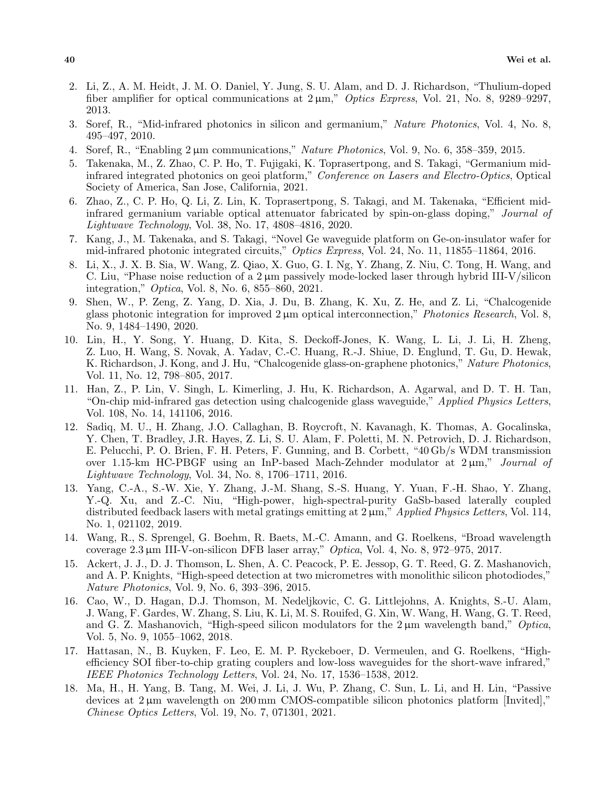- 2. Li, Z., A. M. Heidt, J. M. O. Daniel, Y. Jung, S. U. Alam, and D. J. Richardson, "Thulium-doped fiber amplifier for optical communications at  $2 \mu m$ ," *Optics Express*, Vol. 21, No. 8, 9289–9297, 2013.
- 3. Soref, R., "Mid-infrared photonics in silicon and germanium," *Nature Photonics*, Vol. 4, No. 8, 495–497, 2010.
- 4. Soref, R., "Enabling 2 µm communications," *Nature Photonics*, Vol. 9, No. 6, 358–359, 2015.
- 5. Takenaka, M., Z. Zhao, C. P. Ho, T. Fujigaki, K. Toprasertpong, and S. Takagi, "Germanium midinfrared integrated photonics on geoi platform," *Conference on Lasers and Electro-Optics*, Optical Society of America, San Jose, California, 2021.
- 6. Zhao, Z., C. P. Ho, Q. Li, Z. Lin, K. Toprasertpong, S. Takagi, and M. Takenaka, "Efficient midinfrared germanium variable optical attenuator fabricated by spin-on-glass doping," *Journal of Lightwave Technology*, Vol. 38, No. 17, 4808–4816, 2020.
- 7. Kang, J., M. Takenaka, and S. Takagi, "Novel Ge waveguide platform on Ge-on-insulator wafer for mid-infrared photonic integrated circuits," *Optics Express*, Vol. 24, No. 11, 11855–11864, 2016.
- 8. Li, X., J. X. B. Sia, W. Wang, Z. Qiao, X. Guo, G. I. Ng, Y. Zhang, Z. Niu, C. Tong, H. Wang, and C. Liu, "Phase noise reduction of a  $2 \mu m$  passively mode-locked laser through hybrid III-V/silicon integration," *Optica*, Vol. 8, No. 6, 855–860, 2021.
- 9. Shen, W., P. Zeng, Z. Yang, D. Xia, J. Du, B. Zhang, K. Xu, Z. He, and Z. Li, "Chalcogenide glass photonic integration for improved 2 µm optical interconnection," *Photonics Research*, Vol. 8, No. 9, 1484–1490, 2020.
- 10. Lin, H., Y. Song, Y. Huang, D. Kita, S. Deckoff-Jones, K. Wang, L. Li, J. Li, H. Zheng, Z. Luo, H. Wang, S. Novak, A. Yadav, C.-C. Huang, R.-J. Shiue, D. Englund, T. Gu, D. Hewak, K. Richardson, J. Kong, and J. Hu, "Chalcogenide glass-on-graphene photonics," *Nature Photonics*, Vol. 11, No. 12, 798–805, 2017.
- 11. Han, Z., P. Lin, V. Singh, L. Kimerling, J. Hu, K. Richardson, A. Agarwal, and D. T. H. Tan, "On-chip mid-infrared gas detection using chalcogenide glass waveguide," *Applied Physics Letters*, Vol. 108, No. 14, 141106, 2016.
- 12. Sadiq, M. U., H. Zhang, J.O. Callaghan, B. Roycroft, N. Kavanagh, K. Thomas, A. Gocalinska, Y. Chen, T. Bradley, J.R. Hayes, Z. Li, S. U. Alam, F. Poletti, M. N. Petrovich, D. J. Richardson, E. Pelucchi, P. O. Brien, F. H. Peters, F. Gunning, and B. Corbett, "40 Gb/s WDM transmission over 1.15-km HC-PBGF using an InP-based Mach-Zehnder modulator at 2 µm," *Journal of Lightwave Technology*, Vol. 34, No. 8, 1706–1711, 2016.
- 13. Yang, C.-A., S.-W. Xie, Y. Zhang, J.-M. Shang, S.-S. Huang, Y. Yuan, F.-H. Shao, Y. Zhang, Y.-Q. Xu, and Z.-C. Niu, "High-power, high-spectral-purity GaSb-based laterally coupled distributed feedback lasers with metal gratings emitting at 2 µm," *Applied Physics Letters*, Vol. 114, No. 1, 021102, 2019.
- 14. Wang, R., S. Sprengel, G. Boehm, R. Baets, M.-C. Amann, and G. Roelkens, "Broad wavelength coverage 2.3 µm III-V-on-silicon DFB laser array," *Optica*, Vol. 4, No. 8, 972–975, 2017.
- 15. Ackert, J. J., D. J. Thomson, L. Shen, A. C. Peacock, P. E. Jessop, G. T. Reed, G. Z. Mashanovich, and A. P. Knights, "High-speed detection at two micrometres with monolithic silicon photodiodes," *Nature Photonics*, Vol. 9, No. 6, 393–396, 2015.
- 16. Cao, W., D. Hagan, D.J. Thomson, M. Nedeljkovic, C. G. Littlejohns, A. Knights, S.-U. Alam, J. Wang, F. Gardes, W. Zhang, S. Liu, K. Li, M. S. Rouifed, G. Xin, W. Wang, H. Wang, G. T. Reed, and G. Z. Mashanovich, "High-speed silicon modulators for the 2 µm wavelength band," *Optica*, Vol. 5, No. 9, 1055–1062, 2018.
- 17. Hattasan, N., B. Kuyken, F. Leo, E. M. P. Ryckeboer, D. Vermeulen, and G. Roelkens, "Highefficiency SOI fiber-to-chip grating couplers and low-loss waveguides for the short-wave infrared," *IEEE Photonics Technology Letters*, Vol. 24, No. 17, 1536–1538, 2012.
- 18. Ma, H., H. Yang, B. Tang, M. Wei, J. Li, J. Wu, P. Zhang, C. Sun, L. Li, and H. Lin, "Passive devices at  $2 \mu m$  wavelength on  $200 \text{ mm}$  CMOS-compatible silicon photonics platform [Invited]," *Chinese Optics Letters*, Vol. 19, No. 7, 071301, 2021.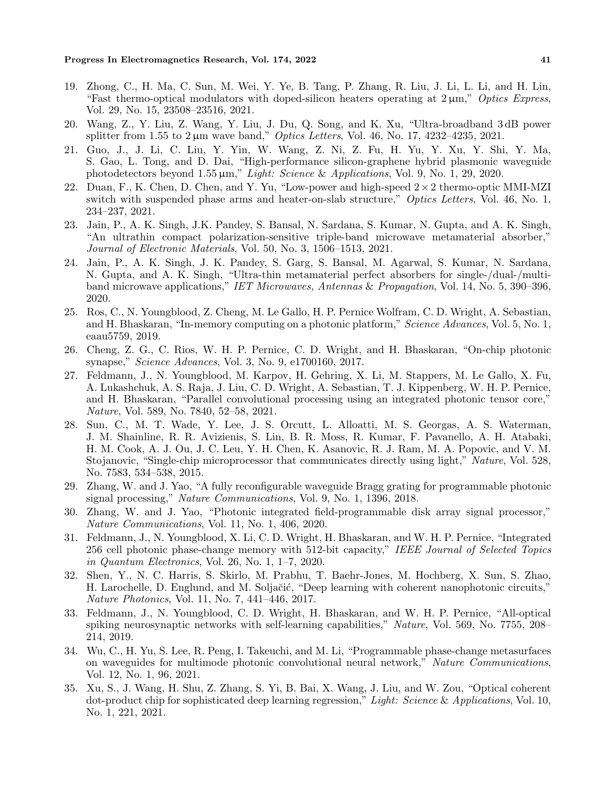- 19. Zhong, C., H. Ma, C. Sun, M. Wei, Y. Ye, B. Tang, P. Zhang, R. Liu, J. Li, L. Li, and H. Lin, "Fast thermo-optical modulators with doped-silicon heaters operating at 2 µm," *Optics Express*, Vol. 29, No. 15, 23508–23516, 2021.
- 20. Wang, Z., Y. Liu, Z. Wang, Y. Liu, J. Du, Q. Song, and K. Xu, "Ultra-broadband 3 dB power splitter from 1.55 to 2 µm wave band," *Optics Letters*, Vol. 46, No. 17, 4232–4235, 2021.
- 21. Guo, J., J. Li, C. Liu, Y. Yin, W. Wang, Z. Ni, Z. Fu, H. Yu, Y. Xu, Y. Shi, Y. Ma, S. Gao, L. Tong, and D. Dai, "High-performance silicon-graphene hybrid plasmonic waveguide photodetectors beyond 1.55 µm," *Light: Science* & *Applications*, Vol. 9, No. 1, 29, 2020.
- 22. Duan, F., K. Chen, D. Chen, and Y. Yu, "Low-power and high-speed 2*×*2 thermo-optic MMI-MZI switch with suspended phase arms and heater-on-slab structure," *Optics Letters*, Vol. 46, No. 1, 234–237, 2021.
- 23. Jain, P., A. K. Singh, J.K. Pandey, S. Bansal, N. Sardana, S. Kumar, N. Gupta, and A. K. Singh, "An ultrathin compact polarization-sensitive triple-band microwave metamaterial absorber," *Journal of Electronic Materials*, Vol. 50, No. 3, 1506–1513, 2021.
- 24. Jain, P., A. K. Singh, J. K. Pandey, S. Garg, S. Bansal, M. Agarwal, S. Kumar, N. Sardana, N. Gupta, and A. K. Singh, "Ultra-thin metamaterial perfect absorbers for single-/dual-/multiband microwave applications," *IET Microwaves, Antennas* & *Propagation*, Vol. 14, No. 5, 390–396, 2020.
- 25. Ros, C., N. Youngblood, Z. Cheng, M. Le Gallo, H. P. Pernice Wolfram, C. D. Wright, A. Sebastian, and H. Bhaskaran, "In-memory computing on a photonic platform," *Science Advances*, Vol. 5, No. 1, eaau5759, 2019.
- 26. Cheng, Z. G., C. Rios, W. H. P. Pernice, C. D. Wright, and H. Bhaskaran, "On-chip photonic synapse," *Science Advances*, Vol. 3, No. 9, e1700160, 2017.
- 27. Feldmann, J., N. Youngblood, M. Karpov, H. Gehring, X. Li, M. Stappers, M. Le Gallo, X. Fu, A. Lukashchuk, A. S. Raja, J. Liu, C. D. Wright, A. Sebastian, T. J. Kippenberg, W. H. P. Pernice, and H. Bhaskaran, "Parallel convolutional processing using an integrated photonic tensor core," *Nature*, Vol. 589, No. 7840, 52–58, 2021.
- 28. Sun, C., M. T. Wade, Y. Lee, J. S. Orcutt, L. Alloatti, M. S. Georgas, A. S. Waterman, J. M. Shainline, R. R. Avizienis, S. Lin, B. R. Moss, R. Kumar, F. Pavanello, A. H. Atabaki, H. M. Cook, A. J. Ou, J. C. Leu, Y. H. Chen, K. Asanovic, R. J. Ram, M. A. Popovic, and V. M. Stojanovic, "Single-chip microprocessor that communicates directly using light," *Nature*, Vol. 528, No. 7583, 534–538, 2015.
- 29. Zhang, W. and J. Yao, "A fully reconfigurable waveguide Bragg grating for programmable photonic signal processing," *Nature Communications*, Vol. 9, No. 1, 1396, 2018.
- 30. Zhang, W. and J. Yao, "Photonic integrated field-programmable disk array signal processor," *Nature Communications*, Vol. 11, No. 1, 406, 2020.
- 31. Feldmann, J., N. Youngblood, X. Li, C. D. Wright, H. Bhaskaran, and W. H. P. Pernice, "Integrated 256 cell photonic phase-change memory with 512-bit capacity," *IEEE Journal of Selected Topics in Quantum Electronics*, Vol. 26, No. 1, 1–7, 2020.
- 32. Shen, Y., N. C. Harris, S. Skirlo, M. Prabhu, T. Baehr-Jones, M. Hochberg, X. Sun, S. Zhao, H. Larochelle, D. Englund, and M. Soljačić, "Deep learning with coherent nanophotonic circuits," *Nature Photonics*, Vol. 11, No. 7, 441–446, 2017.
- 33. Feldmann, J., N. Youngblood, C. D. Wright, H. Bhaskaran, and W. H. P. Pernice, "All-optical spiking neurosynaptic networks with self-learning capabilities," *Nature*, Vol. 569, No. 7755, 208– 214, 2019.
- 34. Wu, C., H. Yu, S. Lee, R. Peng, I. Takeuchi, and M. Li, "Programmable phase-change metasurfaces on waveguides for multimode photonic convolutional neural network," *Nature Communications*, Vol. 12, No. 1, 96, 2021.
- 35. Xu, S., J. Wang, H. Shu, Z. Zhang, S. Yi, B. Bai, X. Wang, J. Liu, and W. Zou, "Optical coherent dot-product chip for sophisticated deep learning regression," *Light: Science* & *Applications*, Vol. 10, No. 1, 221, 2021.